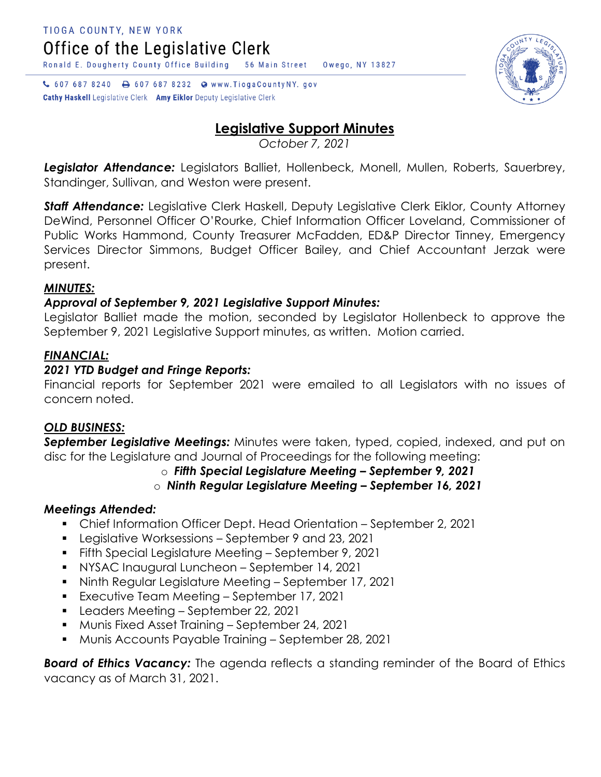↓ 607 687 8240 → 607 687 8232 → www.TiogaCountyNY.gov **Cathy Haskell** Legislative Clerk Amy Eiklor Deputy Legislative Clerk



# **Legislative Support Minutes**

*October 7, 2021*

Legislator Attendance: Legislators Balliet, Hollenbeck, Monell, Mullen, Roberts, Sauerbrey, Standinger, Sullivan, and Weston were present.

*Staff Attendance:* Legislative Clerk Haskell, Deputy Legislative Clerk Eiklor, County Attorney DeWind, Personnel Officer O'Rourke, Chief Information Officer Loveland, Commissioner of Public Works Hammond, County Treasurer McFadden, ED&P Director Tinney, Emergency Services Director Simmons, Budget Officer Bailey, and Chief Accountant Jerzak were present.

# *MINUTES:*

## *Approval of September 9, 2021 Legislative Support Minutes:*

Legislator Balliet made the motion, seconded by Legislator Hollenbeck to approve the September 9, 2021 Legislative Support minutes, as written. Motion carried.

## *FINANCIAL:*

#### *2021 YTD Budget and Fringe Reports:*

Financial reports for September 2021 were emailed to all Legislators with no issues of concern noted.

#### *OLD BUSINESS:*

*September Legislative Meetings:* Minutes were taken, typed, copied, indexed, and put on disc for the Legislature and Journal of Proceedings for the following meeting:

## o *Fifth Special Legislature Meeting – September 9, 2021*

## o *Ninth Regular Legislature Meeting – September 16, 2021*

## *Meetings Attended:*

- Chief Information Officer Dept. Head Orientation September 2, 2021
- Legislative Worksessions September 9 and 23, 2021
- **Fifth Special Legislature Meeting September 9, 2021**
- **NYSAC Inaugural Luncheon September 14, 2021**
- Ninth Regular Legislature Meeting September 17, 2021
- **Executive Team Meeting September 17, 2021**
- **Leaders Meeting September 22, 2021**
- **Munis Fixed Asset Training September 24, 2021**
- Munis Accounts Payable Training September 28, 2021

*Board of Ethics Vacancy:* The agenda reflects a standing reminder of the Board of Ethics vacancy as of March 31, 2021.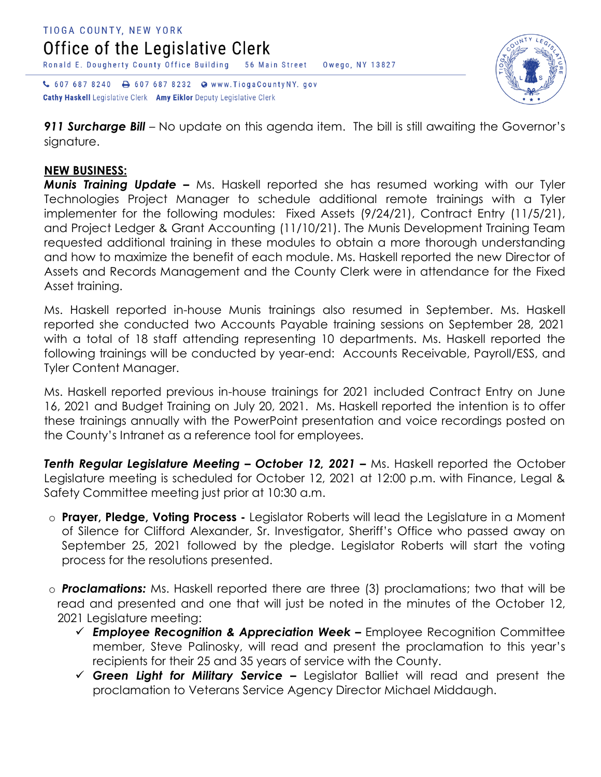



Cathy Haskell Legislative Clerk Amy Eiklor Deputy Legislative Clerk

*911 Surcharge Bill* – No update on this agenda item. The bill is still awaiting the Governor's signature.

#### **NEW BUSINESS:**

*Munis Training Update –* Ms. Haskell reported she has resumed working with our Tyler Technologies Project Manager to schedule additional remote trainings with a Tyler implementer for the following modules: Fixed Assets (9/24/21), Contract Entry (11/5/21), and Project Ledger & Grant Accounting (11/10/21). The Munis Development Training Team requested additional training in these modules to obtain a more thorough understanding and how to maximize the benefit of each module. Ms. Haskell reported the new Director of Assets and Records Management and the County Clerk were in attendance for the Fixed Asset training.

Ms. Haskell reported in-house Munis trainings also resumed in September. Ms. Haskell reported she conducted two Accounts Payable training sessions on September 28, 2021 with a total of 18 staff attending representing 10 departments. Ms. Haskell reported the following trainings will be conducted by year-end: Accounts Receivable, Payroll/ESS, and Tyler Content Manager.

Ms. Haskell reported previous in-house trainings for 2021 included Contract Entry on June 16, 2021 and Budget Training on July 20, 2021. Ms. Haskell reported the intention is to offer these trainings annually with the PowerPoint presentation and voice recordings posted on the County's Intranet as a reference tool for employees.

*Tenth Regular Legislature Meeting – October 12, 2021 –* Ms. Haskell reported the October Legislature meeting is scheduled for October 12, 2021 at 12:00 p.m. with Finance, Legal & Safety Committee meeting just prior at 10:30 a.m.

- o **Prayer, Pledge, Voting Process -** Legislator Roberts will lead the Legislature in a Moment of Silence for Clifford Alexander, Sr. Investigator, Sheriff's Office who passed away on September 25, 2021 followed by the pledge. Legislator Roberts will start the voting process for the resolutions presented.
- o *Proclamations:* Ms. Haskell reported there are three (3) proclamations; two that will be read and presented and one that will just be noted in the minutes of the October 12, 2021 Legislature meeting:
	- *Employee Recognition & Appreciation Week –* Employee Recognition Committee member, Steve Palinosky, will read and present the proclamation to this year's recipients for their 25 and 35 years of service with the County.
	- *Green Light for Military Service –* Legislator Balliet will read and present the proclamation to Veterans Service Agency Director Michael Middaugh.